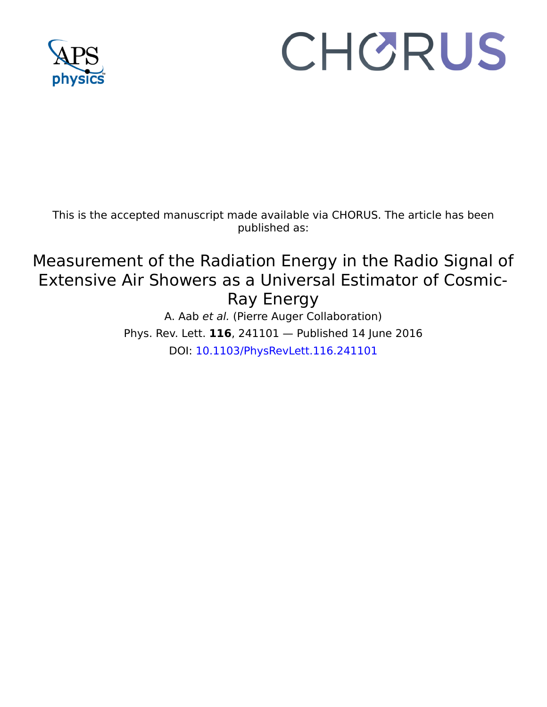

## CHORUS

This is the accepted manuscript made available via CHORUS. The article has been published as:

## Measurement of the Radiation Energy in the Radio Signal of Extensive Air Showers as a Universal Estimator of Cosmic-Ray Energy

A. Aab et al. (Pierre Auger Collaboration) Phys. Rev. Lett. **116**, 241101 — Published 14 June 2016 DOI: [10.1103/PhysRevLett.116.241101](http://dx.doi.org/10.1103/PhysRevLett.116.241101)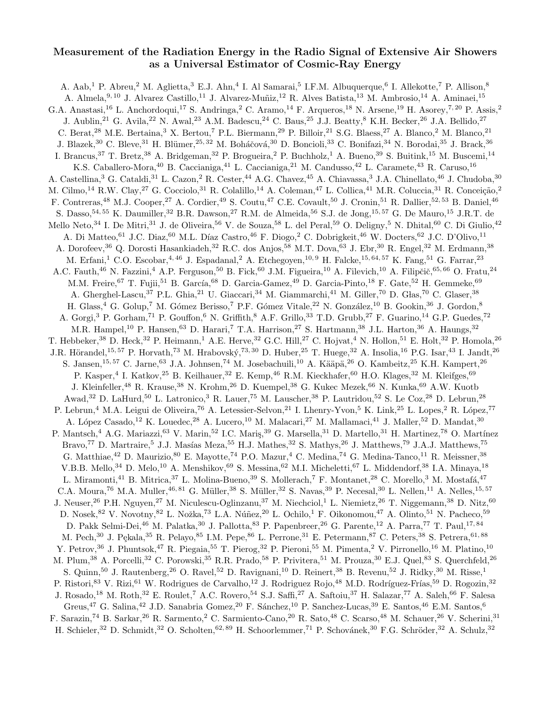## Measurement of the Radiation Energy in the Radio Signal of Extensive Air Showers as a Universal Estimator of Cosmic-Ray Energy

A. Aab,<sup>1</sup> P. Abreu,<sup>2</sup> M. Aglietta,<sup>3</sup> E.J. Ahn,<sup>4</sup> I. Al Samarai,<sup>5</sup> I.F.M. Albuquerque,<sup>6</sup> I. Allekotte,<sup>7</sup> P. Allison,<sup>8</sup> A. Almela, 9, 10 J. Alvarez Castillo, <sup>11</sup> J. Alvarez-Muñiz, <sup>12</sup> R. Alves Batista, <sup>13</sup> M. Ambrosio, <sup>14</sup> A. Aminaei, <sup>15</sup> G.A. Anastasi,<sup>16</sup> L. Anchordoqui,<sup>17</sup> S. Andringa,<sup>2</sup> C. Aramo,<sup>14</sup> F. Arqueros,<sup>18</sup> N. Arsene,<sup>19</sup> H. Asorey,<sup>7,20</sup> P. Assis,<sup>2</sup> J. Aublin,<sup>21</sup> G. Avila,<sup>22</sup> N. Awal,<sup>23</sup> A.M. Badescu,<sup>24</sup> C. Baus,<sup>25</sup> J.J. Beatty,<sup>8</sup> K.H. Becker,<sup>26</sup> J.A. Bellido,<sup>27</sup> C. Berat,<sup>28</sup> M.E. Bertaina,<sup>3</sup> X. Bertou,<sup>7</sup> P.L. Biermann,<sup>29</sup> P. Billoir,<sup>21</sup> S.G. Blaess,<sup>27</sup> A. Blanco,<sup>2</sup> M. Blanco,<sup>21</sup> J. Blazek,<sup>30</sup> C. Bleve,<sup>31</sup> H. Blümer,<sup>25, 32</sup> M. Boháčová,<sup>30</sup> D. Boncioli,<sup>33</sup> C. Bonifazi,<sup>34</sup> N. Borodai,<sup>35</sup> J. Brack,<sup>36</sup> I. Brancus,  $37$  T. Bretz,  $38$  A. Bridgeman,  $32$  P. Brogueira,  $2$  P. Buchholz,  $1$  A. Bueno,  $39$  S. Buitink,  $15$  M. Buscemi,  $14$ K.S. Caballero-Mora,<sup>40</sup> B. Caccianiga,<sup>41</sup> L. Caccianiga,<sup>21</sup> M. Candusso,<sup>42</sup> L. Caramete,<sup>43</sup> R. Caruso,<sup>16</sup> A. Castellina,<sup>3</sup> G. Cataldi,<sup>31</sup> L. Cazon,<sup>2</sup> R. Cester,<sup>44</sup> A.G. Chavez,<sup>45</sup> A. Chiavassa,<sup>3</sup> J.A. Chinellato,<sup>46</sup> J. Chudoba,<sup>30</sup> M. Cilmo,<sup>14</sup> R.W. Clay,<sup>27</sup> G. Cocciolo,<sup>31</sup> R. Colalillo,<sup>14</sup> A. Coleman,<sup>47</sup> L. Collica,<sup>41</sup> M.R. Coluccia,<sup>31</sup> R. Conceição,<sup>2</sup> F. Contreras,<sup>48</sup> M.J. Cooper,<sup>27</sup> A. Cordier,<sup>49</sup> S. Coutu,<sup>47</sup> C.E. Covault,<sup>50</sup> J. Cronin,<sup>51</sup> R. Dallier,<sup>52, 53</sup> B. Daniel,<sup>46</sup> S. Dasso,<sup>54, 55</sup> K. Daumiller,<sup>32</sup> B.R. Dawson,<sup>27</sup> R.M. de Almeida,<sup>56</sup> S.J. de Jong,<sup>15, 57</sup> G. De Mauro,<sup>15</sup> J.R.T. de Mello Neto,<sup>34</sup> I. De Mitri,<sup>31</sup> J. de Oliveira,<sup>56</sup> V. de Souza,<sup>58</sup> L. del Peral,<sup>59</sup> O. Deligny,<sup>5</sup> N. Dhital,<sup>60</sup> C. Di Giulio,<sup>42</sup> A. Di Matteo,<sup>61</sup> J.C. Diaz,<sup>60</sup> M.L. Díaz Castro,<sup>46</sup> F. Diogo,<sup>2</sup> C. Dobrigkeit,<sup>46</sup> W. Docters,<sup>62</sup> J.C. D'Olivo,<sup>11</sup> A. Dorofeev,<sup>36</sup> Q. Dorosti Hasankiadeh,<sup>32</sup> R.C. dos Anjos,<sup>58</sup> M.T. Dova,<sup>63</sup> J. Ebr,<sup>30</sup> R. Engel,<sup>32</sup> M. Erdmann,<sup>38</sup> M. Erfani,<sup>1</sup> C.O. Escobar,<sup>4, 46</sup> J. Espadanal,<sup>2</sup> A. Etchegoyen,<sup>10, 9</sup> H. Falcke,<sup>15, 64, 57</sup> K. Fang,<sup>51</sup> G. Farrar,<sup>23</sup> A.C. Fauth,<sup>46</sup> N. Fazzini,<sup>4</sup> A.P. Ferguson,<sup>50</sup> B. Fick,<sup>60</sup> J.M. Figueira,<sup>10</sup> A. Filevich,<sup>10</sup> A. Filipčič,<sup>65,66</sup> O. Fratu,<sup>24</sup> M.M. Freire,  $^{67}$  T. Fujii,  $^{51}$  B. García,  $^{68}$  D. Garcia-Gamez,  $^{49}$  D. Garcia-Pinto,  $^{18}$  F. Gate,  $^{52}$  H. Gemmeke,  $^{69}$ A. Gherghel-Lascu,<sup>37</sup> P.L. Ghia,<sup>21</sup> U. Giaccari,<sup>34</sup> M. Giammarchi,<sup>41</sup> M. Giller,<sup>70</sup> D. Glas,<sup>70</sup> C. Glaser,<sup>38</sup> H. Glass,  $4$  G. Golup,  $7$  M. Gómez Berisso,  $7$  P.F. Gómez Vitale,  $22$  N. González,  $10$  B. Gookin,  $36$  J. Gordon,  $8$ A. Gorgi,<sup>3</sup> P. Gorham,<sup>71</sup> P. Gouffon,<sup>6</sup> N. Griffith,<sup>8</sup> A.F. Grillo,<sup>33</sup> T.D. Grubb,<sup>27</sup> F. Guarino,<sup>14</sup> G.P. Guedes,<sup>72</sup> M.R. Hampel,<sup>10</sup> P. Hansen,<sup>63</sup> D. Harari,<sup>7</sup> T.A. Harrison,<sup>27</sup> S. Hartmann,<sup>38</sup> J.L. Harton,<sup>36</sup> A. Haungs,<sup>32</sup> T. Hebbeker,<sup>38</sup> D. Heck,<sup>32</sup> P. Heimann,<sup>1</sup> A.E. Herve,<sup>32</sup> G.C. Hill,<sup>27</sup> C. Hojvat,<sup>4</sup> N. Hollon,<sup>51</sup> E. Holt,<sup>32</sup> P. Homola,<sup>26</sup> J.R. Hörandel,<sup>15, 57</sup> P. Horvath,<sup>73</sup> M. Hrabovský,<sup>73, 30</sup> D. Huber,<sup>25</sup> T. Huege,<sup>32</sup> A. Insolia,<sup>16</sup> P.G. Isar,<sup>43</sup> I. Jandt,<sup>26</sup> S. Jansen,<sup>15, 57</sup> C. Jarne,<sup>63</sup> J.A. Johnsen,<sup>74</sup> M. Josebachuili,<sup>10</sup> A. Kääpä,<sup>26</sup> O. Kambeitz,<sup>25</sup> K.H. Kampert,<sup>26</sup> P. Kasper,<sup>4</sup> I. Katkov,<sup>25</sup> B. Keilhauer,<sup>32</sup> E. Kemp,<sup>46</sup> R.M. Kieckhafer,<sup>60</sup> H.O. Klages,<sup>32</sup> M. Kleifges,<sup>69</sup> J. Kleinfeller,<sup>48</sup> R. Krause,<sup>38</sup> N. Krohm,<sup>26</sup> D. Kuempel,<sup>38</sup> G. Kukec Mezek,<sup>66</sup> N. Kunka,<sup>69</sup> A.W. Kuotb Awad,<sup>32</sup> D. LaHurd,<sup>50</sup> L. Latronico,<sup>3</sup> R. Lauer,<sup>75</sup> M. Lauscher,<sup>38</sup> P. Lautridou,<sup>52</sup> S. Le Coz,<sup>28</sup> D. Lebrun,<sup>28</sup> P. Lebrun,<sup>4</sup> M.A. Leigui de Oliveira,<sup>76</sup> A. Letessier-Selvon,<sup>21</sup> I. Lhenry-Yvon,<sup>5</sup> K. Link,<sup>25</sup> L. Lopes,<sup>2</sup> R. López,<sup>77</sup> A. López Casado,<sup>12</sup> K. Louedec,<sup>28</sup> A. Lucero,<sup>10</sup> M. Malacari,<sup>27</sup> M. Mallamaci,<sup>41</sup> J. Maller,<sup>52</sup> D. Mandat,<sup>30</sup> P. Mantsch,<sup>4</sup> A.G. Mariazzi,<sup>63</sup> V. Marin,<sup>52</sup> I.C. Mariş,<sup>39</sup> G. Marsella,<sup>31</sup> D. Martello,<sup>31</sup> H. Martinez,<sup>78</sup> O. Martínez Bravo,<sup>77</sup> D. Martraire,<sup>5</sup> J.J. Masías Meza,<sup>55</sup> H.J. Mathes,<sup>32</sup> S. Mathys,<sup>26</sup> J. Matthews,<sup>79</sup> J.A.J. Matthews,<sup>75</sup> G. Matthiae,<sup>42</sup> D. Maurizio,<sup>80</sup> E. Mayotte,<sup>74</sup> P.O. Mazur,<sup>4</sup> C. Medina,<sup>74</sup> G. Medina-Tanco,<sup>11</sup> R. Meissner,<sup>38</sup> V.B.B. Mello,<sup>34</sup> D. Melo,<sup>10</sup> A. Menshikov,<sup>69</sup> S. Messina,<sup>62</sup> M.I. Micheletti,<sup>67</sup> L. Middendorf,<sup>38</sup> I.A. Minaya,<sup>18</sup> L. Miramonti,<sup>41</sup> B. Mitrica,<sup>37</sup> L. Molina-Bueno,<sup>39</sup> S. Mollerach,<sup>7</sup> F. Montanet,<sup>28</sup> C. Morello,<sup>3</sup> M. Mostafá,<sup>47</sup> C.A. Moura,<sup>76</sup> M.A. Muller,<sup>46, 81</sup> G. Müller,<sup>38</sup> S. Müller,<sup>32</sup> S. Navas,<sup>39</sup> P. Necesal,<sup>30</sup> L. Nellen,<sup>11</sup> A. Nelles,<sup>15, 57</sup> J. Neuser,<sup>26</sup> P.H. Nguyen,<sup>27</sup> M. Niculescu-Oglinzanu,<sup>37</sup> M. Niechciol,<sup>1</sup> L. Niemietz,<sup>26</sup> T. Niggemann,<sup>38</sup> D. Nitz,<sup>60</sup> D. Nosek, <sup>82</sup> V. Novotny, <sup>82</sup> L. Nožka, <sup>73</sup> L.A. Núñez, <sup>20</sup> L. Ochilo, <sup>1</sup> F. Oikonomou, <sup>47</sup> A. Olinto, <sup>51</sup> N. Pacheco, <sup>59</sup> D. Pakk Selmi-Dei,<sup>46</sup> M. Palatka,<sup>30</sup> J. Pallotta,<sup>83</sup> P. Papenbreer,<sup>26</sup> G. Parente,<sup>12</sup> A. Parra,<sup>77</sup> T. Paul,<sup>17,84</sup> M. Pech,<sup>30</sup> J. Pękala,<sup>35</sup> R. Pelayo,<sup>85</sup> I.M. Pepe,<sup>86</sup> L. Perrone,<sup>31</sup> E. Petermann,<sup>87</sup> C. Peters,<sup>38</sup> S. Petrera,<sup>61,88</sup> Y. Petrov,<sup>36</sup> J. Phuntsok,<sup>47</sup> R. Piegaia,<sup>55</sup> T. Pierog,<sup>32</sup> P. Pieroni,<sup>55</sup> M. Pimenta,<sup>2</sup> V. Pirronello,<sup>16</sup> M. Platino,<sup>10</sup> M. Plum,<sup>38</sup> A. Porcelli,<sup>32</sup> C. Porowski,<sup>35</sup> R.R. Prado,<sup>58</sup> P. Privitera,<sup>51</sup> M. Prouza,<sup>30</sup> E.J. Quel,<sup>83</sup> S. Querchfeld,<sup>26</sup> S. Quinn,<sup>50</sup> J. Rautenberg,<sup>26</sup> O. Ravel,<sup>52</sup> D. Ravignani,<sup>10</sup> D. Reinert,<sup>38</sup> B. Revenu,<sup>52</sup> J. Ridky,<sup>30</sup> M. Risse,<sup>1</sup> P. Ristori,<sup>83</sup> V. Rizi,<sup>61</sup> W. Rodrigues de Carvalho,<sup>12</sup> J. Rodríguez Rojo,<sup>48</sup> M.D. Rodríguez-Frías,<sup>59</sup> D. Rogozin,<sup>32</sup> J. Rosado,<sup>18</sup> M. Roth,<sup>32</sup> E. Roulet,<sup>7</sup> A.C. Rovero,<sup>54</sup> S.J. Saffi,<sup>27</sup> A. Saftoiu,<sup>37</sup> H. Salazar,<sup>77</sup> A. Saleh,<sup>66</sup> F. Salesa Greus,<sup>47</sup> G. Salina,<sup>42</sup> J.D. Sanabria Gomez,<sup>20</sup> F. Sánchez,<sup>10</sup> P. Sanchez-Lucas,<sup>39</sup> E. Santos,<sup>46</sup> E.M. Santos,<sup>6</sup> F. Sarazin,<sup>74</sup> B. Sarkar,<sup>26</sup> R. Sarmento,<sup>2</sup> C. Sarmiento-Cano,<sup>20</sup> R. Sato,<sup>48</sup> C. Scarso,<sup>48</sup> M. Schauer,<sup>26</sup> V. Scherini,<sup>31</sup> H. Schieler,<sup>32</sup> D. Schmidt,<sup>32</sup> O. Scholten,<sup>62, 89</sup> H. Schoorlemmer,<sup>71</sup> P. Schovánek,<sup>30</sup> F.G. Schröder,<sup>32</sup> A. Schulz,<sup>32</sup>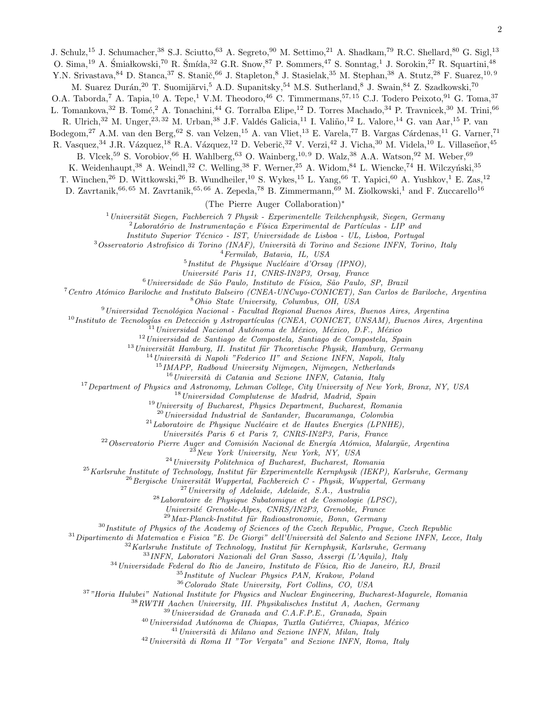O. Sima, <sup>19</sup> A. Śmiałkowski, <sup>70</sup> R. Šmída, <sup>32</sup> G.R. Snow, <sup>87</sup> P. Sommers, <sup>47</sup> S. Sonntag,<sup>1</sup> J. Sorokin, <sup>27</sup> R. Squartini, <sup>48</sup> Y.N. Srivastava, <sup>84</sup> D. Stanca, <sup>37</sup> S. Stanič, <sup>66</sup> J. Stapleton, <sup>8</sup> J. Stasielak, <sup>35</sup> M. Stephan, <sup>38</sup> A. Stutz, <sup>28</sup> F. Suarez, <sup>10, 9</sup>

M. Suarez Durán,<sup>20</sup> T. Suomijärvi,<sup>5</sup> A.D. Supanitsky,<sup>54</sup> M.S. Sutherland,<sup>8</sup> J. Swain,<sup>84</sup> Z. Szadkowski,<sup>70</sup>

O.A. Taborda,<sup>7</sup> A. Tapia,<sup>10</sup> A. Tepe,<sup>1</sup> V.M. Theodoro,<sup>46</sup> C. Timmermans,<sup>57, 15</sup> C.J. Todero Peixoto,<sup>91</sup> G. Toma,<sup>37</sup>

L. Tomankova,<sup>32</sup> B. Tomé,<sup>2</sup> A. Tonachini,<sup>44</sup> G. Torralba Elipe,<sup>12</sup> D. Torres Machado,<sup>34</sup> P. Travnicek,<sup>30</sup> M. Trini,<sup>66</sup>

R. Ulrich,<sup>32</sup> M. Unger,<sup>23, 32</sup> M. Urban,<sup>38</sup> J.F. Valdés Galicia,<sup>11</sup> I. Valiño,<sup>12</sup> L. Valore,<sup>14</sup> G. van Aar,<sup>15</sup> P. van

Bodegom,<sup>27</sup> A.M. van den Berg,<sup>62</sup> S. van Velzen,<sup>15</sup> A. van Vliet,<sup>13</sup> E. Varela,<sup>77</sup> B. Vargas Cárdenas,<sup>11</sup> G. Varner,<sup>71</sup>

R. Vasquez,<sup>34</sup> J.R. Vázquez,<sup>18</sup> R.A. Vázquez,<sup>12</sup> D. Veberič,<sup>32</sup> V. Verzi,<sup>42</sup> J. Vicha,<sup>30</sup> M. Videla,<sup>10</sup> L. Villaseñor,<sup>45</sup>

B. Vlcek,<sup>59</sup> S. Vorobiov,<sup>66</sup> H. Wahlberg,<sup>63</sup> O. Wainberg,<sup>10, 9</sup> D. Walz,<sup>38</sup> A.A. Watson,<sup>92</sup> M. Weber,<sup>69</sup>

K. Weidenhaupt, <sup>38</sup> A. Weindl, <sup>32</sup> C. Welling, <sup>38</sup> F. Werner, <sup>25</sup> A. Widom, <sup>84</sup> L. Wiencke, <sup>74</sup> H. Wilczyński, <sup>35</sup>

T. Winchen,<sup>26</sup> D. Wittkowski,<sup>26</sup> B. Wundheiler,<sup>10</sup> S. Wykes,<sup>15</sup> L. Yang,<sup>66</sup> T. Yapici,<sup>60</sup> A. Yushkov,<sup>1</sup> E. Zas,<sup>12</sup>

D. Zavrtanik,  $66,65$  M. Zavrtanik,  $65,66$  A. Zepeda,  $78$  B. Zimmermann,  $69$  M. Ziolkowski,  $^1$  and F. Zuccarello<sup>16</sup>

(The Pierre Auger Collaboration)<sup>∗</sup>

 $1$ Universität Siegen, Fachbereich  $\gamma$  Physik - Experimentelle Teilchenphysik, Siegen, Germany

 ${}^{2}$ Laboratório de Instrumentação e Física Experimental de Partículas - LIP and

Instituto Superior Técnico - IST, Universidade de Lisboa - UL, Lisboa, Portugal

 $3$ Osservatorio Astrofisico di Torino (INAF), Università di Torino and Sezione INFN, Torino, Italy

<sup>4</sup>Fermilab, Batavia, IL, USA

 $<sup>5</sup>$ Institut de Physique Nucléaire d'Orsay (IPNO),</sup>

Universit´e Paris 11, CNRS-IN2P3, Orsay, France

 $6$ Universidade de São Paulo, Instituto de Física, São Paulo, SP, Brazil

<sup>7</sup> Centro Atómico Bariloche and Instituto Balseiro (CNEA-UNCuyo-CONICET), San Carlos de Bariloche, Argentina <sup>8</sup>Ohio State University, Columbus, OH, USA

 $9$ Universidad Tecnológica Nacional - Facultad Regional Buenos Aires, Buenos Aires, Argentina

 $^{10}$ Instituto de Tecnologías en Detección y Astropartículas (CNEA, CONICET, UNSAM), Buenos Aires, Argentina

 $11$ Universidad Nacional Autónoma de México, México, D.F., México

 $12$ Universidad de Santiago de Compostela, Santiago de Compostela, Spain

 $13$ Universität Hamburg, II. Institut für Theoretische Physik, Hamburg, Germany

 $14$ Università di Napoli "Federico II" and Sezione INFN, Napoli, Italy

<sup>15</sup>IMAPP, Radboud University Nijmegen, Nijmegen, Netherlands

 $16$ Università di Catania and Sezione INFN, Catania, Italy

<sup>17</sup>Department of Physics and Astronomy, Lehman College, City University of New York, Bronx, NY, USA

<sup>18</sup>Universidad Complutense de Madrid, Madrid, Spain

 $19$ University of Bucharest, Physics Department, Bucharest, Romania

 $^{20}$ Universidad Industrial de Santander, Bucaramanga, Colombia

 $^{21}$ Laboratoire de Physique Nucléaire et de Hautes Energies (LPNHE),

Universités Paris 6 et Paris 7, CNRS-IN2P3, Paris, France

 $22$ Observatorio Pierre Auger and Comisión Nacional de Energía Atómica, Malargüe, Argentina

 $^{23}$ New York University, New York, NY, USA

<sup>24</sup>University Politehnica of Bucharest, Bucharest, Romania

 $^{25}$ Karlsruhe Institute of Technology, Institut für Experimentelle Kernphysik (IEKP), Karlsruhe, Germany

 $^{26}$ Bergische Universität Wuppertal, Fachbereich C - Physik, Wuppertal, Germany

<sup>27</sup>University of Adelaide, Adelaide, S.A., Australia

 $28$ Laboratoire de Physique Subatomique et de Cosmologie (LPSC),

Universit´e Grenoble-Alpes, CNRS/IN2P3, Grenoble, France

 $^{29}$ Max-Planck-Institut für Radioastronomie, Bonn, Germany

 $30$ Institute of Physics of the Academy of Sciences of the Czech Republic, Praque, Czech Republic

 $31$ Dipartimento di Matematica e Fisica "E. De Giorgi" dell'Università del Salento and Sezione INFN, Lecce, Italy

 $32$ Karlsruhe Institute of Technology, Institut für Kernphysik, Karlsruhe, Germany

<sup>33</sup>INFN, Laboratori Nazionali del Gran Sasso, Assergi (L'Aquila), Italy

 $34$ Universidade Federal do Rio de Janeiro, Instituto de Física, Rio de Janeiro, RJ, Brazil

<sup>35</sup>Institute of Nuclear Physics PAN, Krakow, Poland

<sup>36</sup>Colorado State University, Fort Collins, CO, USA

<sup>37</sup>"Horia Hulubei" National Institute for Physics and Nuclear Engineering, Bucharest-Magurele, Romania

 $38$ RWTH Aachen University, III. Physikalisches Institut A, Aachen, Germany

<sup>39</sup>Universidad de Granada and C.A.F.P.E., Granada, Spain

 $^{40}$ Universidad Autónoma de Chiapas, Tuxtla Gutiérrez, Chiapas, México

 $^{41}$ Università di Milano and Sezione INFN, Milan, Italy

 $^{42}$ Università di Roma II "Tor Vergata" and Sezione INFN, Roma, Italy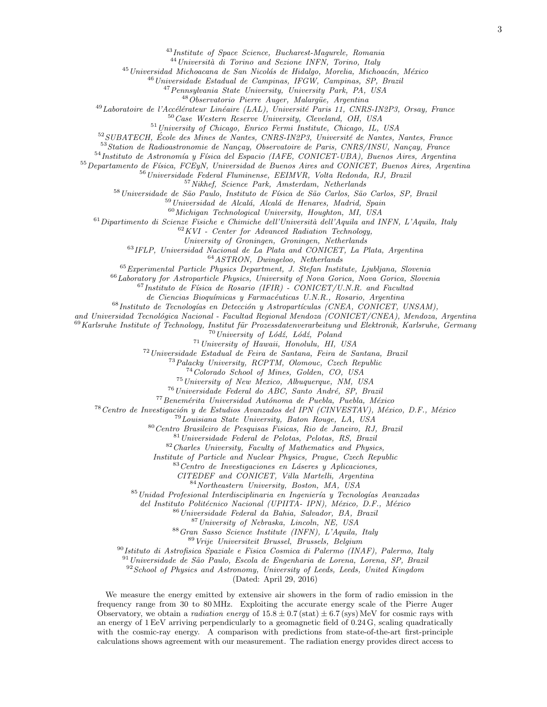<sup>43</sup>Institute of Space Science, Bucharest-Magurele, Romania

 $44$ Università di Torino and Sezione INFN, Torino, Italy

 $45$ Universidad Michoacana de San Nicolás de Hidalgo, Morelia, Michoacán, México

<sup>46</sup>Universidade Estadual de Campinas, IFGW, Campinas, SP, Brazil

<sup>47</sup> Pennsylvania State University, University Park, PA, USA

 $48$ Observatorio Pierre Auger, Malargüe, Argentina

 $^{49}$ Laboratoire de l'Accélérateur Linéaire (LAL), Université Paris 11, CNRS-IN2P3, Orsay, France

<sup>50</sup>Case Western Reserve University, Cleveland, OH, USA

<sup>51</sup>University of Chicago, Enrico Fermi Institute, Chicago, IL, USA

 $52$ SUBATECH, École des Mines de Nantes, CNRS-IN2P3, Université de Nantes, Nantes, France

 $53$ Station de Radioastronomie de Nançay, Observatoire de Paris, CNRS/INSU, Nançay, France

 $^{54}$ Instituto de Astronomía y Física del Espacio (IAFE, CONICET-UBA), Buenos Aires, Argentina

<sup>55</sup> Departamento de Física, FCEyN, Universidad de Buenos Aires and CONICET, Buenos Aires, Argentina

<sup>56</sup>Universidade Federal Fluminense, EEIMVR, Volta Redonda, RJ, Brazil

 $57\text{ Nikhef.}$  Science Park, Amsterdam, Netherlands

58 Universidade de São Paulo, Instituto de Física de São Carlos, São Carlos, SP, Brazil

 $59$ Universidad de Alcalá, Alcalá de Henares, Madrid, Spain

 $^{60}$ Michigan Technological University, Houghton, MI, USA

 $61$ Dipartimento di Scienze Fisiche e Chimiche dell'Università dell'Aquila and INFN, L'Aquila, Italy

 $62 KVI$  - Center for Advanced Radiation Technology,

University of Groningen, Groningen, Netherlands

<sup>63</sup>IFLP, Universidad Nacional de La Plata and CONICET, La Plata, Argentina

 $^{64}ASTRON, \ \ Duringe loop, \ \ Netherlands$ 

 $65$ Experimental Particle Physics Department, J. Stefan Institute, Ljubljana, Slovenia

<sup>66</sup>Laboratory for Astroparticle Physics, University of Nova Gorica, Nova Gorica, Slovenia

 $67$ Instituto de Física de Rosario (IFIR) - CONICET/U.N.R. and Facultad

de Ciencias Bioquímicas y Farmacéuticas U.N.R., Rosario, Argentina

 $^{68}$ Instituto de Tecnologías en Detección y Astropartículas (CNEA, CONICET, UNSAM),

and Universidad Tecnológica Nacional - Facultad Regional Mendoza (CONICET/CNEA), Mendoza, Argentina

 $^{69}$ Karlsruhe Institute of Technology, Institut für Prozessdatenverarbeitung und Elektronik, Karlsruhe, Germany

 $70$ University of Lódź, Lódź, Poland

<sup>71</sup>University of Hawaii, Honolulu, HI, USA

<sup>72</sup>Universidade Estadual de Feira de Santana, Feira de Santana, Brazil

<sup>73</sup>Palacky University, RCPTM, Olomouc, Czech Republic

<sup>74</sup>Colorado School of Mines, Golden, CO, USA

<sup>75</sup>University of New Mexico, Albuquerque, NM, USA

 $^{76}$ Universidade Federal do ABC, Santo André, SP, Brazil

 $77$ Benemérita Universidad Autónoma de Puebla, Puebla, México

<sup>78</sup> Centro de Investigación y de Estudios Avanzados del IPN (CINVESTAV), México, D.F., México

<sup>79</sup>Louisiana State University, Baton Rouge, LA, USA

<sup>80</sup>Centro Brasileiro de Pesquisas Fisicas, Rio de Janeiro, RJ, Brazil

<sup>81</sup>Universidade Federal de Pelotas, Pelotas, RS, Brazil

<sup>82</sup>Charles University, Faculty of Mathematics and Physics,

Institute of Particle and Nuclear Physics, Prague, Czech Republic

 $83$ Centro de Investigaciones en Láseres y Aplicaciones,

CITEDEF and CONICET, Villa Martelli, Argentina

<sup>84</sup>Northeastern University, Boston, MA, USA

 $85$ Unidad Profesional Interdisciplinaria en Ingeniería y Tecnologías Avanzadas

del Instituto Politécnico Nacional (UPIITA- IPN), México, D.F., México

<sup>86</sup>Universidade Federal da Bahia, Salvador, BA, Brazil

<sup>87</sup>University of Nebraska, Lincoln, NE, USA

<sup>88</sup>Gran Sasso Science Institute (INFN), L'Aquila, Italy

<sup>89</sup>Vrije Universiteit Brussel, Brussels, Belgium

<sup>90</sup>Istituto di Astrofisica Spaziale e Fisica Cosmica di Palermo (INAF), Palermo, Italy

<sup>91</sup> Universidade de São Paulo, Escola de Engenharia de Lorena, Lorena, SP, Brazil

 $92$ School of Physics and Astronomy, University of Leeds, Leeds, United Kingdom

(Dated: April 29, 2016)

We measure the energy emitted by extensive air showers in the form of radio emission in the frequency range from 30 to 80 MHz. Exploiting the accurate energy scale of the Pierre Auger Observatory, we obtain a *radiation energy* of  $15.8 \pm 0.7$  (stat)  $\pm 6.7$  (sys) MeV for cosmic rays with an energy of 1 EeV arriving perpendicularly to a geomagnetic field of 0.24 G, scaling quadratically with the cosmic-ray energy. A comparison with predictions from state-of-the-art first-principle calculations shows agreement with our measurement. The radiation energy provides direct access to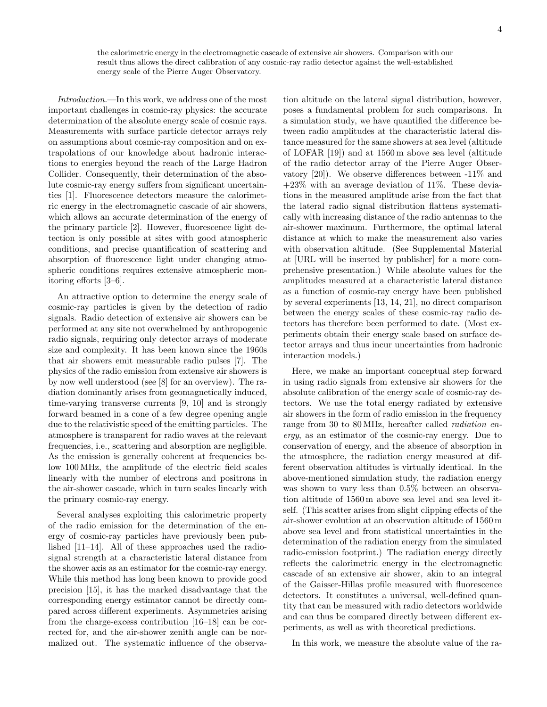the calorimetric energy in the electromagnetic cascade of extensive air showers. Comparison with our result thus allows the direct calibration of any cosmic-ray radio detector against the well-established energy scale of the Pierre Auger Observatory.

Introduction.—In this work, we address one of the most important challenges in cosmic-ray physics: the accurate determination of the absolute energy scale of cosmic rays. Measurements with surface particle detector arrays rely on assumptions about cosmic-ray composition and on extrapolations of our knowledge about hadronic interactions to energies beyond the reach of the Large Hadron Collider. Consequently, their determination of the absolute cosmic-ray energy suffers from significant uncertainties [1]. Fluorescence detectors measure the calorimetric energy in the electromagnetic cascade of air showers, which allows an accurate determination of the energy of the primary particle [2]. However, fluorescence light detection is only possible at sites with good atmospheric conditions, and precise quantification of scattering and absorption of fluorescence light under changing atmospheric conditions requires extensive atmospheric monitoring efforts [3–6].

An attractive option to determine the energy scale of cosmic-ray particles is given by the detection of radio signals. Radio detection of extensive air showers can be performed at any site not overwhelmed by anthropogenic radio signals, requiring only detector arrays of moderate size and complexity. It has been known since the 1960s that air showers emit measurable radio pulses [7]. The physics of the radio emission from extensive air showers is by now well understood (see [8] for an overview). The radiation dominantly arises from geomagnetically induced, time-varying transverse currents [9, 10] and is strongly forward beamed in a cone of a few degree opening angle due to the relativistic speed of the emitting particles. The atmosphere is transparent for radio waves at the relevant frequencies, i.e., scattering and absorption are negligible. As the emission is generally coherent at frequencies below 100 MHz, the amplitude of the electric field scales linearly with the number of electrons and positrons in the air-shower cascade, which in turn scales linearly with the primary cosmic-ray energy.

Several analyses exploiting this calorimetric property of the radio emission for the determination of the energy of cosmic-ray particles have previously been published [11–14]. All of these approaches used the radiosignal strength at a characteristic lateral distance from the shower axis as an estimator for the cosmic-ray energy. While this method has long been known to provide good precision [15], it has the marked disadvantage that the corresponding energy estimator cannot be directly compared across different experiments. Asymmetries arising from the charge-excess contribution [16–18] can be corrected for, and the air-shower zenith angle can be normalized out. The systematic influence of the observa-

tion altitude on the lateral signal distribution, however, poses a fundamental problem for such comparisons. In a simulation study, we have quantified the difference between radio amplitudes at the characteristic lateral distance measured for the same showers at sea level (altitude of LOFAR [19]) and at 1560 m above sea level (altitude of the radio detector array of the Pierre Auger Observatory [20]). We observe differences between -11% and  $+23\%$  with an average deviation of 11%. These deviations in the measured amplitude arise from the fact that the lateral radio signal distribution flattens systematically with increasing distance of the radio antennas to the air-shower maximum. Furthermore, the optimal lateral distance at which to make the measurement also varies with observation altitude. (See Supplemental Material at [URL will be inserted by publisher] for a more comprehensive presentation.) While absolute values for the amplitudes measured at a characteristic lateral distance as a function of cosmic-ray energy have been published by several experiments [13, 14, 21], no direct comparison between the energy scales of these cosmic-ray radio detectors has therefore been performed to date. (Most experiments obtain their energy scale based on surface detector arrays and thus incur uncertainties from hadronic interaction models.)

Here, we make an important conceptual step forward in using radio signals from extensive air showers for the absolute calibration of the energy scale of cosmic-ray detectors. We use the total energy radiated by extensive air showers in the form of radio emission in the frequency range from 30 to 80 MHz, hereafter called radiation energy, as an estimator of the cosmic-ray energy. Due to conservation of energy, and the absence of absorption in the atmosphere, the radiation energy measured at different observation altitudes is virtually identical. In the above-mentioned simulation study, the radiation energy was shown to vary less than 0.5% between an observation altitude of 1560 m above sea level and sea level itself. (This scatter arises from slight clipping effects of the air-shower evolution at an observation altitude of 1560 m above sea level and from statistical uncertainties in the determination of the radiation energy from the simulated radio-emission footprint.) The radiation energy directly reflects the calorimetric energy in the electromagnetic cascade of an extensive air shower, akin to an integral of the Gaisser-Hillas profile measured with fluorescence detectors. It constitutes a universal, well-defined quantity that can be measured with radio detectors worldwide and can thus be compared directly between different experiments, as well as with theoretical predictions.

In this work, we measure the absolute value of the ra-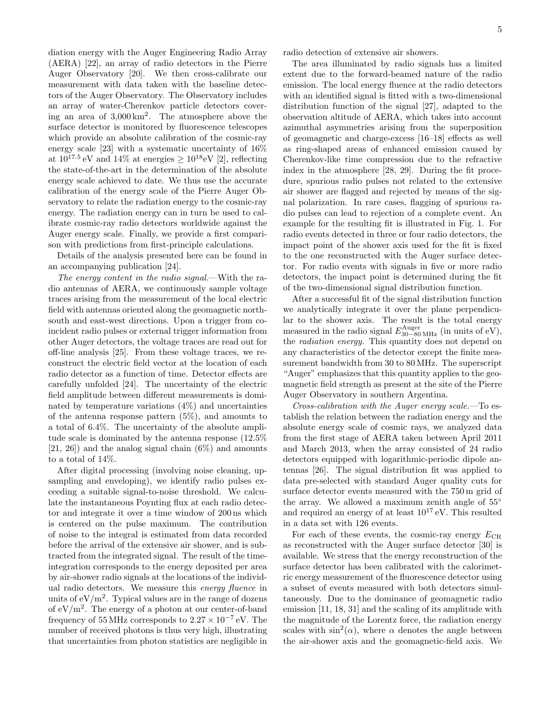diation energy with the Auger Engineering Radio Array (AERA) [22], an array of radio detectors in the Pierre Auger Observatory [20]. We then cross-calibrate our measurement with data taken with the baseline detectors of the Auger Observatory. The Observatory includes an array of water-Cherenkov particle detectors covering an area of 3,000 km<sup>2</sup> . The atmosphere above the surface detector is monitored by fluorescence telescopes which provide an absolute calibration of the cosmic-ray energy scale [23] with a systematic uncertainty of 16% at  $10^{17.5}$  eV and  $14\%$  at energies  $\geq 10^{18}$ eV [2], reflecting the state-of-the-art in the determination of the absolute energy scale achieved to date. We thus use the accurate calibration of the energy scale of the Pierre Auger Observatory to relate the radiation energy to the cosmic-ray energy. The radiation energy can in turn be used to calibrate cosmic-ray radio detectors worldwide against the Auger energy scale. Finally, we provide a first comparison with predictions from first-principle calculations.

Details of the analysis presented here can be found in an accompanying publication [24].

The energy content in the radio signal.—With the radio antennas of AERA, we continuously sample voltage traces arising from the measurement of the local electric field with antennas oriented along the geomagnetic northsouth and east-west directions. Upon a trigger from coincident radio pulses or external trigger information from other Auger detectors, the voltage traces are read out for off-line analysis [25]. From these voltage traces, we reconstruct the electric field vector at the location of each radio detector as a function of time. Detector effects are carefully unfolded [24]. The uncertainty of the electric field amplitude between different measurements is dominated by temperature variations (4%) and uncertainties of the antenna response pattern (5%), and amounts to a total of 6.4%. The uncertainty of the absolute amplitude scale is dominated by the antenna response (12.5%  $[21, 26]$  and the analog signal chain  $(6\%)$  and amounts to a total of 14%.

After digital processing (involving noise cleaning, upsampling and enveloping), we identify radio pulses exceeding a suitable signal-to-noise threshold. We calculate the instantaneous Poynting flux at each radio detector and integrate it over a time window of 200 ns which is centered on the pulse maximum. The contribution of noise to the integral is estimated from data recorded before the arrival of the extensive air shower, and is subtracted from the integrated signal. The result of the timeintegration corresponds to the energy deposited per area by air-shower radio signals at the locations of the individual radio detectors. We measure this energy fluence in units of  $\rm eV/m^2$ . Typical values are in the range of dozens of  $eV/m^2$ . The energy of a photon at our center-of-band frequency of 55 MHz corresponds to  $2.27 \times 10^{-7}$  eV. The number of received photons is thus very high, illustrating that uncertainties from photon statistics are negligible in

radio detection of extensive air showers.

The area illuminated by radio signals has a limited extent due to the forward-beamed nature of the radio emission. The local energy fluence at the radio detectors with an identified signal is fitted with a two-dimensional distribution function of the signal [27], adapted to the observation altitude of AERA, which takes into account azimuthal asymmetries arising from the superposition of geomagnetic and charge-excess [16–18] effects as well as ring-shaped areas of enhanced emission caused by Cherenkov-like time compression due to the refractive index in the atmosphere [28, 29]. During the fit procedure, spurious radio pulses not related to the extensive air shower are flagged and rejected by means of the signal polarization. In rare cases, flagging of spurious radio pulses can lead to rejection of a complete event. An example for the resulting fit is illustrated in Fig. 1. For radio events detected in three or four radio detectors, the impact point of the shower axis used for the fit is fixed to the one reconstructed with the Auger surface detector. For radio events with signals in five or more radio detectors, the impact point is determined during the fit of the two-dimensional signal distribution function.

After a successful fit of the signal distribution function we analytically integrate it over the plane perpendicular to the shower axis. The result is the total energy measured in the radio signal  $E_{30-80 \text{ MHz}}^{\text{Auger}}$  (in units of eV), the radiation energy. This quantity does not depend on any characteristics of the detector except the finite measurement bandwidth from 30 to 80 MHz. The superscript "Auger" emphasizes that this quantity applies to the geomagnetic field strength as present at the site of the Pierre Auger Observatory in southern Argentina.

Cross-calibration with the Auger energy scale.—To establish the relation between the radiation energy and the absolute energy scale of cosmic rays, we analyzed data from the first stage of AERA taken between April 2011 and March 2013, when the array consisted of 24 radio detectors equipped with logarithmic-periodic dipole antennas [26]. The signal distribution fit was applied to data pre-selected with standard Auger quality cuts for surface detector events measured with the 750 m grid of the array. We allowed a maximum zenith angle of  $55^{\circ}$ and required an energy of at least  $10^{17}$  eV. This resulted in a data set with 126 events.

For each of these events, the cosmic-ray energy  $E_{CR}$ as reconstructed with the Auger surface detector [30] is available. We stress that the energy reconstruction of the surface detector has been calibrated with the calorimetric energy measurement of the fluorescence detector using a subset of events measured with both detectors simultaneously. Due to the dominance of geomagnetic radio emission [11, 18, 31] and the scaling of its amplitude with the magnitude of the Lorentz force, the radiation energy scales with  $\sin^2(\alpha)$ , where  $\alpha$  denotes the angle between the air-shower axis and the geomagnetic-field axis. We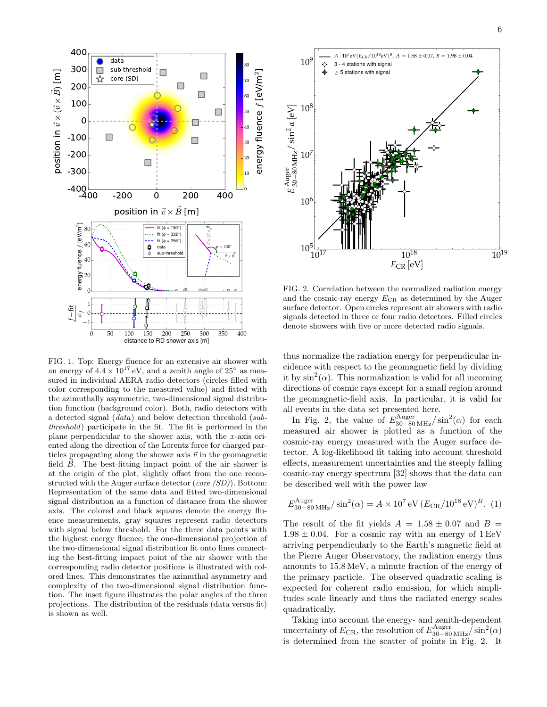

FIG. 1. Top: Energy fluence for an extensive air shower with an energy of  $4.4 \times 10^{17}$  eV, and a zenith angle of  $25^{\circ}$  as measured in individual AERA radio detectors (circles filled with color corresponding to the measured value) and fitted with the azimuthally asymmetric, two-dimensional signal distribution function (background color). Both, radio detectors with a detected signal (data) and below detection threshold (subthreshold) participate in the fit. The fit is performed in the plane perpendicular to the shower axis, with the x-axis oriented along the direction of the Lorentz force for charged particles propagating along the shower axis  $\vec{v}$  in the geomagnetic field  $\vec{B}$ . The best-fitting impact point of the air shower is at the origin of the plot, slightly offset from the one reconstructed with the Auger surface detector (core (SD)). Bottom: Representation of the same data and fitted two-dimensional signal distribution as a function of distance from the shower axis. The colored and black squares denote the energy fluence measurements, gray squares represent radio detectors with signal below threshold. For the three data points with the highest energy fluence, the one-dimensional projection of the two-dimensional signal distribution fit onto lines connecting the best-fitting impact point of the air shower with the corresponding radio detector positions is illustrated with colored lines. This demonstrates the azimuthal asymmetry and complexity of the two-dimensional signal distribution function. The inset figure illustrates the polar angles of the three projections. The distribution of the residuals (data versus fit) is shown as well.



FIG. 2. Correlation between the normalized radiation energy and the cosmic-ray energy  $E_{CR}$  as determined by the Auger surface detector. Open circles represent air showers with radio signals detected in three or four radio detectors. Filled circles denote showers with five or more detected radio signals.

thus normalize the radiation energy for perpendicular incidence with respect to the geomagnetic field by dividing it by  $\sin^2(\alpha)$ . This normalization is valid for all incoming directions of cosmic rays except for a small region around the geomagnetic-field axis. In particular, it is valid for all events in the data set presented here.

In Fig. 2, the value of  $E_{30-80 \text{ MHz}}^{\text{Auger}}/\sin^2(\alpha)$  for each measured air shower is plotted as a function of the cosmic-ray energy measured with the Auger surface detector. A log-likelihood fit taking into account threshold effects, measurement uncertainties and the steeply falling cosmic-ray energy spectrum [32] shows that the data can be described well with the power law

$$
E_{30-80 \text{ MHz}}^{\text{Auger}} / \sin^2(\alpha) = A \times 10^7 \text{ eV} (E_{\text{CR}} / 10^{18} \text{ eV})^B.
$$
 (1)

The result of the fit yields  $A = 1.58 \pm 0.07$  and  $B =$  $1.98 \pm 0.04$ . For a cosmic ray with an energy of 1 EeV arriving perpendicularly to the Earth's magnetic field at the Pierre Auger Observatory, the radiation energy thus amounts to 15.8 MeV, a minute fraction of the energy of the primary particle. The observed quadratic scaling is expected for coherent radio emission, for which amplitudes scale linearly and thus the radiated energy scales quadratically.

Taking into account the energy- and zenith-dependent uncertainty of  $E_{\text{CR}}$ , the resolution of  $E_{30-80 \text{ MHz}}^{\text{Auger}}/\sin^2(\alpha)$ is determined from the scatter of points in Fig. 2. It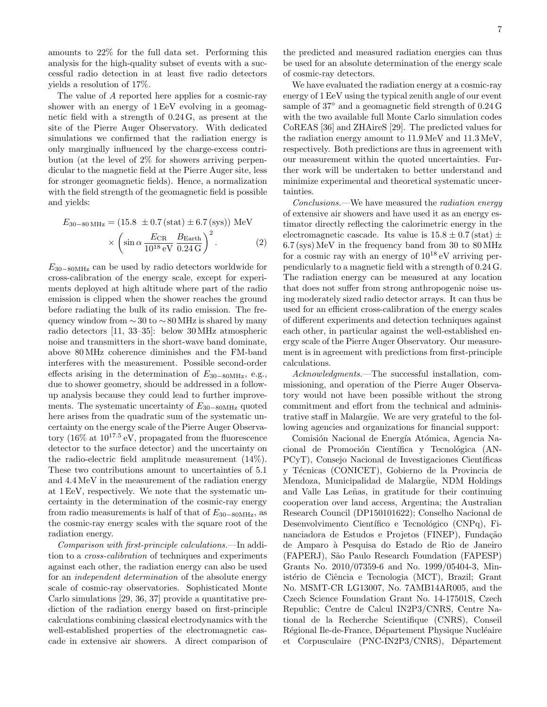amounts to 22% for the full data set. Performing this analysis for the high-quality subset of events with a successful radio detection in at least five radio detectors yields a resolution of 17%.

The value of A reported here applies for a cosmic-ray shower with an energy of 1 EeV evolving in a geomagnetic field with a strength of 0.24 G, as present at the site of the Pierre Auger Observatory. With dedicated simulations we confirmed that the radiation energy is only marginally influenced by the charge-excess contribution (at the level of 2% for showers arriving perpendicular to the magnetic field at the Pierre Auger site, less for stronger geomagnetic fields). Hence, a normalization with the field strength of the geomagnetic field is possible and yields:

$$
E_{30-80 \text{ MHz}} = (15.8 \pm 0.7 \text{ (stat)} \pm 6.7 \text{ (sys)}) \text{ MeV}
$$

$$
\times \left(\sin \alpha \frac{E_{\text{CR}}}{10^{18} \text{ eV}} \frac{B_{\text{Earth}}}{0.24 \text{ G}}\right)^2. \tag{2}
$$

 $E_{30-80MHz}$  can be used by radio detectors worldwide for cross-calibration of the energy scale, except for experiments deployed at high altitude where part of the radio emission is clipped when the shower reaches the ground before radiating the bulk of its radio emission. The frequency window from  $\sim$  30 to  $\sim$  80 MHz is shared by many radio detectors [11, 33–35]: below 30 MHz atmospheric noise and transmitters in the short-wave band dominate, above 80 MHz coherence diminishes and the FM-band interferes with the measurement. Possible second-order effects arising in the determination of  $E_{30-80MHz}$ , e.g., due to shower geometry, should be addressed in a followup analysis because they could lead to further improvements. The systematic uncertainty of  $E_{30-80MHz}$  quoted here arises from the quadratic sum of the systematic uncertainty on the energy scale of the Pierre Auger Observatory  $(16\% \text{ at } 10^{17.5} \text{ eV}, \text{ propagated from the fluorescence})$ detector to the surface detector) and the uncertainty on the radio-electric field amplitude measurement (14%). These two contributions amount to uncertainties of 5.1 and 4.4 MeV in the measurement of the radiation energy at 1 EeV, respectively. We note that the systematic uncertainty in the determination of the cosmic-ray energy from radio measurements is half of that of  $E_{30-80MHz}$ , as the cosmic-ray energy scales with the square root of the radiation energy.

Comparison with first-principle calculations.—In addition to a cross-calibration of techniques and experiments against each other, the radiation energy can also be used for an independent determination of the absolute energy scale of cosmic-ray observatories. Sophisticated Monte Carlo simulations [29, 36, 37] provide a quantitative prediction of the radiation energy based on first-principle calculations combining classical electrodynamics with the well-established properties of the electromagnetic cascade in extensive air showers. A direct comparison of

the predicted and measured radiation energies can thus be used for an absolute determination of the energy scale of cosmic-ray detectors.

We have evaluated the radiation energy at a cosmic-ray energy of 1 EeV using the typical zenith angle of our event sample of 37° and a geomagnetic field strength of  $0.24$  G with the two available full Monte Carlo simulation codes CoREAS [36] and ZHAireS [29]. The predicted values for the radiation energy amount to 11.9 MeV and 11.3 MeV, respectively. Both predictions are thus in agreement with our measurement within the quoted uncertainties. Further work will be undertaken to better understand and minimize experimental and theoretical systematic uncertainties.

Conclusions.—We have measured the radiation energy of extensive air showers and have used it as an energy estimator directly reflecting the calorimetric energy in the electromagnetic cascade. Its value is  $15.8 \pm 0.7$  (stat)  $\pm$ 6.7 (sys) MeV in the frequency band from 30 to 80 MHz for a cosmic ray with an energy of  $10^{18}$  eV arriving perpendicularly to a magnetic field with a strength of 0.24 G. The radiation energy can be measured at any location that does not suffer from strong anthropogenic noise using moderately sized radio detector arrays. It can thus be used for an efficient cross-calibration of the energy scales of different experiments and detection techniques against each other, in particular against the well-established energy scale of the Pierre Auger Observatory. Our measurement is in agreement with predictions from first-principle calculations.

Acknowledgments.—The successful installation, commissioning, and operation of the Pierre Auger Observatory would not have been possible without the strong commitment and effort from the technical and administrative staff in Malargüe. We are very grateful to the following agencies and organizations for financial support:

Comisión Nacional de Energía Atómica, Agencia Nacional de Promoción Científica y Tecnológica (AN-PCyT), Consejo Nacional de Investigaciones Científicas y Técnicas (CONICET), Gobierno de la Provincia de Mendoza, Municipalidad de Malargüe, NDM Holdings and Valle Las Leñas, in gratitude for their continuing cooperation over land access, Argentina; the Australian Research Council (DP150101622); Conselho Nacional de Desenvolvimento Científico e Tecnológico (CNPq), Financiadora de Estudos e Projetos (FINEP), Fundação de Amparo `a Pesquisa do Estado de Rio de Janeiro (FAPERJ), São Paulo Research Foundation (FAPESP) Grants No. 2010/07359-6 and No. 1999/05404-3, Ministério de Ciência e Tecnologia (MCT), Brazil; Grant No. MSMT-CR LG13007, No. 7AMB14AR005, and the Czech Science Foundation Grant No. 14-17501S, Czech Republic; Centre de Calcul IN2P3/CNRS, Centre National de la Recherche Scientifique (CNRS), Conseil Régional Ile-de-France, Département Physique Nucléaire et Corpusculaire (PNC-IN2P3/CNRS), Département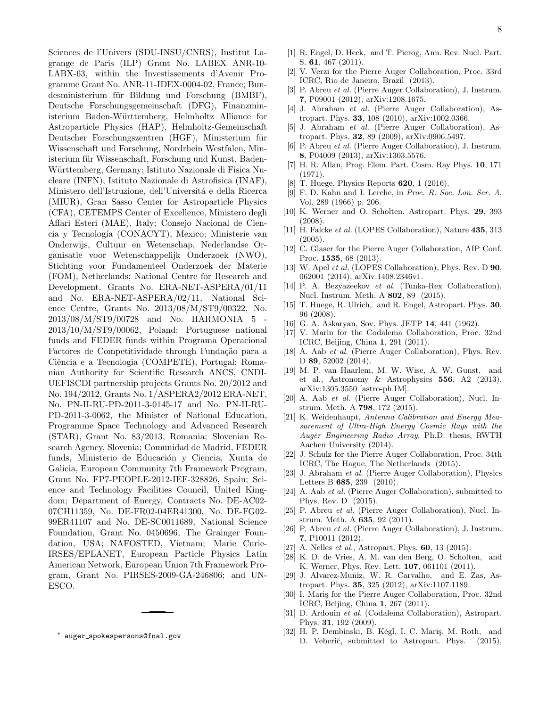Sciences de l'Univers (SDU-INSU/CNRS), Institut Lagrange de Paris (ILP) Grant No. LABEX ANR-10- LABX-63, within the Investissements d'Avenir Programme Grant No. ANR-11-IDEX-0004-02, France; Bundesministerium für Bildung und Forschung (BMBF), Deutsche Forschungsgemeinschaft (DFG), Finanzministerium Baden-Württemberg, Helmholtz Alliance for Astroparticle Physics (HAP), Helmholtz-Gemeinschaft Deutscher Forschungszentren (HGF), Ministerium für Wissenschaft und Forschung, Nordrhein Westfalen, Ministerium für Wissenschaft, Forschung und Kunst, Baden-Württemberg, Germany; Istituto Nazionale di Fisica Nucleare (INFN), Istituto Nazionale di Astrofisica (INAF), Ministero dell'Istruzione, dell'Università e della Ricerca (MIUR), Gran Sasso Center for Astroparticle Physics (CFA), CETEMPS Center of Excellence, Ministero degli Affari Esteri (MAE), Italy; Consejo Nacional de Ciencia y Tecnología (CONACYT), Mexico; Ministerie van Onderwijs, Cultuur en Wetenschap, Nederlandse Organisatie voor Wetenschappelijk Onderzoek (NWO), Stichting voor Fundamenteel Onderzoek der Materie (FOM), Netherlands; National Centre for Research and Development, Grants No. ERA-NET-ASPERA/01/11 and No. ERA-NET-ASPERA/02/11, National Science Centre, Grants No. 2013/08/M/ST9/00322, No. 2013/08/M/ST9/00728 and No. HARMONIA 5 - 2013/10/M/ST9/00062, Poland; Portuguese national funds and FEDER funds within Programa Operacional Factores de Competitividade through Fundação para a Ciência e a Tecnologia (COMPETE), Portugal; Romanian Authority for Scientific Research ANCS, CNDI-UEFISCDI partnership projects Grants No. 20/2012 and No. 194/2012, Grants No. 1/ASPERA2/2012 ERA-NET, No. PN-II-RU-PD-2011-3-0145-17 and No. PN-II-RU-PD-2011-3-0062, the Minister of National Education, Programme Space Technology and Advanced Research (STAR), Grant No. 83/2013, Romania; Slovenian Research Agency, Slovenia; Comunidad de Madrid, FEDER funds, Ministerio de Educación y Ciencia, Xunta de Galicia, European Community 7th Framework Program, Grant No. FP7-PEOPLE-2012-IEF-328826, Spain; Science and Technology Facilities Council, United Kingdom; Department of Energy, Contracts No. DE-AC02- 07CH11359, No. DE-FR02-04ER41300, No. DE-FG02- 99ER41107 and No. DE-SC0011689, National Science Foundation, Grant No. 0450696, The Grainger Foundation, USA; NAFOSTED, Vietnam; Marie Curie-IRSES/EPLANET, European Particle Physics Latin American Network, European Union 7th Framework Program, Grant No. PIRSES-2009-GA-246806; and UN-ESCO.

∗ auger spokespersons@fnal.gov

- [1] R. Engel, D. Heck, and T. Pierog, Ann. Rev. Nucl. Part. S. 61, 467 (2011).
- [2] V. Verzi for the Pierre Auger Collaboration, Proc. 33rd ICRC, Rio de Janeiro, Brazil (2013).
- [3] P. Abreu et al. (Pierre Auger Collaboration), J. Instrum. 7, P09001 (2012), arXiv:1208.1675.
- [4] J. Abraham et al. (Pierre Auger Collaboration), Astropart. Phys. 33, 108 (2010), arXiv:1002.0366.
- [5] J. Abraham et al. (Pierre Auger Collaboration), Astropart. Phys. 32, 89 (2009), arXiv:0906.5497.
- [6] P. Abreu et al. (Pierre Auger Collaboration), J. Instrum. 8, P04009 (2013), arXiv:1303.5576.
- [7] H. R. Allan, Prog. Elem. Part. Cosm. Ray Phys. 10, 171 (1971).
- [8] T. Huege, Physics Reports **620**, 1 (2016).
- [9] F. D. Kahn and I. Lerche, in Proc. R. Soc. Lon. Ser. A, Vol. 289 (1966) p. 206.
- [10] K. Werner and O. Scholten, Astropart. Phys. 29, 393 (2008).
- [11] H. Falcke *et al.* (LOPES Collaboration), Nature **435**, 313 (2005).
- [12] C. Glaser for the Pierre Auger Collaboration, AIP Conf. Proc. 1535, 68 (2013).
- [13] W. Apel *et al.* (LOPES Collaboration), Phys. Rev. D **90**, 062001 (2014), arXiv:1408.2346v1.
- [14] P. A. Bezyazeekov et al. (Tunka-Rex Collaboration), Nucl. Instrum. Meth. A 802, 89 (2015).
- [15] T. Huege, R. Ulrich, and R. Engel, Astropart. Phys. 30, 96 (2008).
- [16] G. A. Askaryan, Sov. Phys. JETP 14, 441 (1962).
- [17] V. Marin for the Codalema Collaboration, Proc. 32nd ICRC, Beijing, China 1, 291 (2011).
- [18] A. Aab *et al.* (Pierre Auger Collaboration), Phys. Rev. D 89, 52002 (2014).
- [19] M. P. van Haarlem, M. W. Wise, A. W. Gunst, and et al., Astronomy & Astrophysics 556, A2 (2013), arXiv:1305.3550 [astro-ph.IM].
- [20] A. Aab et al. (Pierre Auger Collaboration), Nucl. Instrum. Meth. A 798, 172 (2015).
- [21] K. Weidenhaupt, Antenna Calibration and Energy Measurement of Ultra-High Energy Cosmic Rays with the Auger Engineering Radio Array, Ph.D. thesis, RWTH Aachen University (2014).
- [22] J. Schulz for the Pierre Auger Collaboration, Proc. 34th ICRC, The Hague, The Netherlands (2015).
- [23] J. Abraham et al. (Pierre Auger Collaboration), Physics Letters B 685, 239 (2010).
- [24] A. Aab et al. (Pierre Auger Collaboration), submitted to Phys. Rev. D (2015).
- [25] P. Abreu et al. (Pierre Auger Collaboration), Nucl. Instrum. Meth. A 635, 92 (2011).
- [26] P. Abreu et al. (Pierre Auger Collaboration), J. Instrum. 7, P10011 (2012).
- [27] A. Nelles *et al.*, Astropart. Phys. **60**, 13 (2015).
- [28] K. D. de Vries, A. M. van den Berg, O. Scholten, and K. Werner, Phys. Rev. Lett. 107, 061101 (2011).
- [29] J. Alvarez-Muñiz, W. R. Carvalho, and E. Zas, Astropart. Phys. 35, 325 (2012), arXiv:1107.1189.
- [30] I. Mariş for the Pierre Auger Collaboration, Proc. 32nd ICRC, Beijing, China 1, 267 (2011).
- [31] D. Ardouin et al. (Codalema Collaboration), Astropart. Phys. 31, 192 (2009).
- [32] H. P. Dembinski, B. Kégl, I. C. Maris, M. Roth, and D. Veberič, submitted to Astropart. Phys. (2015),